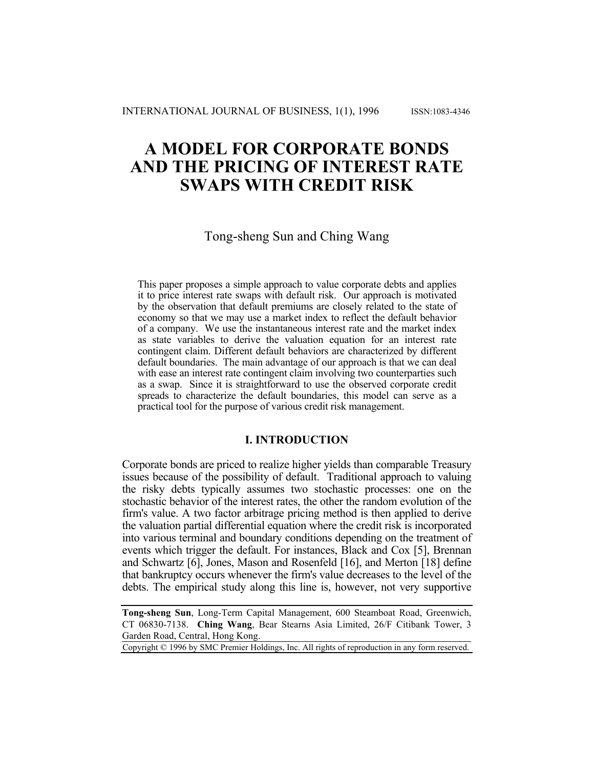# **A MODEL FOR CORPORATE BONDS AND THE PRICING OF INTEREST RATE SWAPS WITH CREDIT RISK**

# Tong-sheng Sun and Ching Wang

This paper proposes a simple approach to value corporate debts and applies it to price interest rate swaps with default risk. Our approach is motivated by the observation that default premiums are closely related to the state of economy so that we may use a market index to reflect the default behavior of a company. We use the instantaneous interest rate and the market index as state variables to derive the valuation equation for an interest rate contingent claim. Different default behaviors are characterized by different default boundaries. The main advantage of our approach is that we can deal with ease an interest rate contingent claim involving two counterparties such as a swap. Since it is straightforward to use the observed corporate credit spreads to characterize the default boundaries, this model can serve as a practical tool for the purpose of various credit risk management.

## **I. INTRODUCTION**

Corporate bonds are priced to realize higher yields than comparable Treasury issues because of the possibility of default. Traditional approach to valuing the risky debts typically assumes two stochastic processes: one on the stochastic behavior of the interest rates, the other the random evolution of the firm's value. A two factor arbitrage pricing method is then applied to derive the valuation partial differential equation where the credit risk is incorporated into various terminal and boundary conditions depending on the treatment of events which trigger the default. For instances, Black and Cox [5], Brennan and Schwartz [6], Jones, Mason and Rosenfeld [16], and Merton [18] define that bankruptcy occurs whenever the firm's value decreases to the level of the debts. The empirical study along this line is, however, not very supportive

Copyright © 1996 by SMC Premier Holdings, Inc. All rights of reproduction in any form reserved.

**Tong-sheng Sun**, Long-Term Capital Management, 600 Steamboat Road, Greenwich, CT 06830-7138. **Ching Wang**, Bear Stearns Asia Limited, 26/F Citibank Tower, 3 Garden Road, Central, Hong Kong.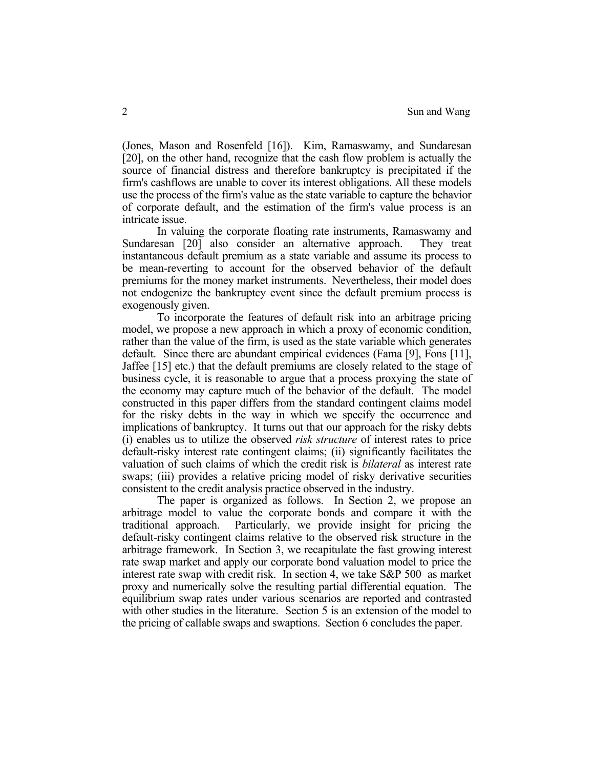(Jones, Mason and Rosenfeld [16]). Kim, Ramaswamy, and Sundaresan [20], on the other hand, recognize that the cash flow problem is actually the source of financial distress and therefore bankruptcy is precipitated if the firm's cashflows are unable to cover its interest obligations. All these models use the process of the firm's value as the state variable to capture the behavior of corporate default, and the estimation of the firm's value process is an intricate issue.

In valuing the corporate floating rate instruments, Ramaswamy and Sundaresan [20] also consider an alternative approach. They treat instantaneous default premium as a state variable and assume its process to be mean-reverting to account for the observed behavior of the default premiums for the money market instruments. Nevertheless, their model does not endogenize the bankruptcy event since the default premium process is exogenously given.

To incorporate the features of default risk into an arbitrage pricing model, we propose a new approach in which a proxy of economic condition, rather than the value of the firm, is used as the state variable which generates default. Since there are abundant empirical evidences (Fama [9], Fons [11], Jaffee [15] etc.) that the default premiums are closely related to the stage of business cycle, it is reasonable to argue that a process proxying the state of the economy may capture much of the behavior of the default. The model constructed in this paper differs from the standard contingent claims model for the risky debts in the way in which we specify the occurrence and implications of bankruptcy. It turns out that our approach for the risky debts (i) enables us to utilize the observed *risk structure* of interest rates to price default-risky interest rate contingent claims; (ii) significantly facilitates the valuation of such claims of which the credit risk is *bilateral* as interest rate swaps; (iii) provides a relative pricing model of risky derivative securities consistent to the credit analysis practice observed in the industry.

The paper is organized as follows. In Section 2, we propose an arbitrage model to value the corporate bonds and compare it with the traditional approach. Particularly, we provide insight for pricing the default-risky contingent claims relative to the observed risk structure in the arbitrage framework. In Section 3, we recapitulate the fast growing interest rate swap market and apply our corporate bond valuation model to price the interest rate swap with credit risk. In section 4, we take S&P 500 as market proxy and numerically solve the resulting partial differential equation. The equilibrium swap rates under various scenarios are reported and contrasted with other studies in the literature. Section 5 is an extension of the model to the pricing of callable swaps and swaptions. Section 6 concludes the paper.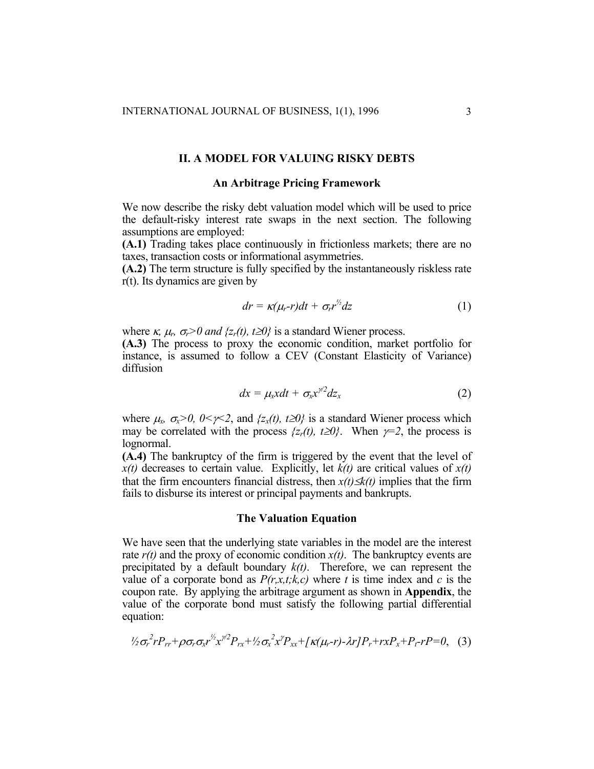#### **II. A MODEL FOR VALUING RISKY DEBTS**

#### **An Arbitrage Pricing Framework**

We now describe the risky debt valuation model which will be used to price the default-risky interest rate swaps in the next section. The following assumptions are employed:

**(A.1)** Trading takes place continuously in frictionless markets; there are no taxes, transaction costs or informational asymmetries.

**(A.2)** The term structure is fully specified by the instantaneously riskless rate r(t). Its dynamics are given by

$$
dr = \kappa(\mu_r - r)dt + \sigma_r r'^2 dz \qquad (1)
$$

where  $\kappa$ ,  $\mu_r$ ,  $\sigma_r > 0$  and  $\{z_r(t), t \geq 0\}$  is a standard Wiener process.

**(A.3)** The process to proxy the economic condition, market portfolio for instance, is assumed to follow a CEV (Constant Elasticity of Variance) diffusion

$$
dx = \mu_x x dt + \sigma_x x^{\gamma/2} dz_x \qquad (2)
$$

where  $\mu_x$ ,  $\sigma_x > 0$ ,  $0 < \gamma < 2$ , and  $\{z_x(t), t \ge 0\}$  is a standard Wiener process which may be correlated with the process  $\{z_r(t), t \geq 0\}$ . When  $\gamma = 2$ , the process is lognormal.

**(A.4)** The bankruptcy of the firm is triggered by the event that the level of  $x(t)$  decreases to certain value. Explicitly, let  $k(t)$  are critical values of  $x(t)$ that the firm encounters financial distress, then  $x(t) \leq k(t)$  implies that the firm fails to disburse its interest or principal payments and bankrupts.

#### **The Valuation Equation**

We have seen that the underlying state variables in the model are the interest rate  $r(t)$  and the proxy of economic condition  $x(t)$ . The bankruptcy events are precipitated by a default boundary *k(t)*. Therefore, we can represent the value of a corporate bond as  $P(r, x, t; k, c)$  where t is time index and c is the coupon rate. By applying the arbitrage argument as shown in **Appendix**, the value of the corporate bond must satisfy the following partial differential equation:

$$
\frac{1}{2}\sigma_r^2 r P_{rr} + \rho \sigma_r \sigma_x r^{\frac{1}{2}} x^{\frac{1}{2}} P_{rx} + \frac{1}{2} \sigma_x^2 x^{\frac{1}{2}} P_{xx} + \frac{1}{2} \kappa (\mu_r - r) - \lambda r \cdot P_r + r x P_x + P_r - r P = 0, \quad (3)
$$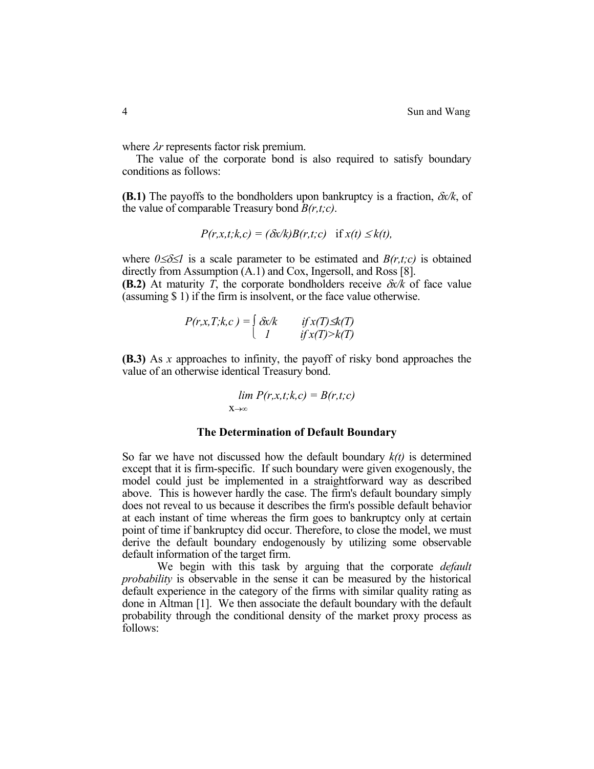where λ*r* represents factor risk premium.

 The value of the corporate bond is also required to satisfy boundary conditions as follows:

**(B.1)** The payoffs to the bondholders upon bankruptcy is a fraction, δ*x/k*, of the value of comparable Treasury bond *B(r,t;c)*.

$$
P(r,x,t;k,c) = (\delta x/k)B(r,t;c) \text{ if } x(t) \leq k(t),
$$

where  $0 \le \delta \le 1$  is a scale parameter to be estimated and  $B(r,t;c)$  is obtained directly from Assumption (A.1) and Cox, Ingersoll, and Ross [8].

**(B.2)** At maturity *T*, the corporate bondholders receive δ*x/k* of face value (assuming \$ 1) if the firm is insolvent, or the face value otherwise.

$$
P(r, x, T; k, c) = \begin{cases} \delta x/k & \text{if } x(T) \leq k(T) \\ l & \text{if } x(T) > k(T) \end{cases}
$$

**(B.3)** As *x* approaches to infinity, the payoff of risky bond approaches the value of an otherwise identical Treasury bond.

$$
\lim_{x \to \infty} P(r, x, t; k, c) = B(r, t; c)
$$

#### **The Determination of Default Boundary**

So far we have not discussed how the default boundary *k(t)* is determined except that it is firm-specific. If such boundary were given exogenously, the model could just be implemented in a straightforward way as described above. This is however hardly the case. The firm's default boundary simply does not reveal to us because it describes the firm's possible default behavior at each instant of time whereas the firm goes to bankruptcy only at certain point of time if bankruptcy did occur. Therefore, to close the model, we must derive the default boundary endogenously by utilizing some observable default information of the target firm.

We begin with this task by arguing that the corporate *default probability* is observable in the sense it can be measured by the historical default experience in the category of the firms with similar quality rating as done in Altman [1]. We then associate the default boundary with the default probability through the conditional density of the market proxy process as follows: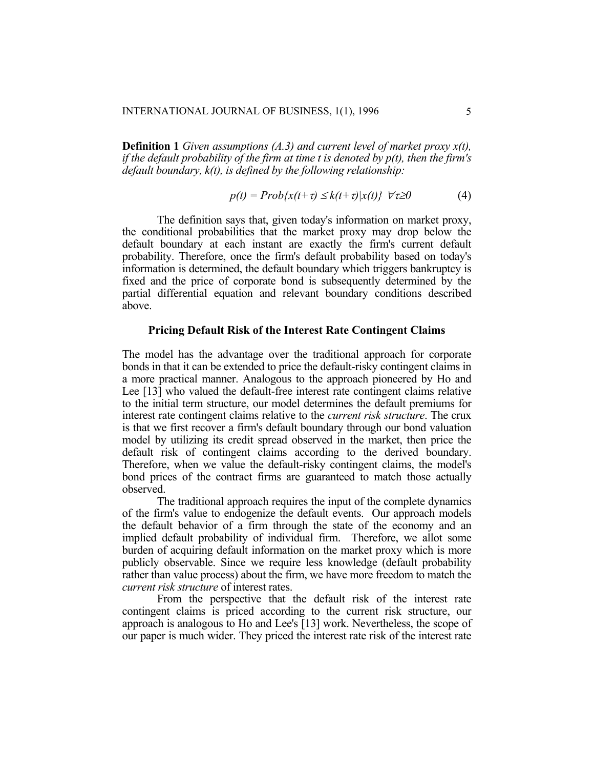**Definition 1** *Given assumptions (A.3) and current level of market proxy x(t), if the default probability of the firm at time t is denoted by p(t), then the firm's default boundary, k(t), is defined by the following relationship:* 

$$
p(t) = Prob\{x(t+\tau) \le k(t+\tau)|x(t)\} \quad \forall \tau \ge 0 \tag{4}
$$

The definition says that, given today's information on market proxy, the conditional probabilities that the market proxy may drop below the default boundary at each instant are exactly the firm's current default probability. Therefore, once the firm's default probability based on today's information is determined, the default boundary which triggers bankruptcy is fixed and the price of corporate bond is subsequently determined by the partial differential equation and relevant boundary conditions described above.

#### **Pricing Default Risk of the Interest Rate Contingent Claims**

The model has the advantage over the traditional approach for corporate bonds in that it can be extended to price the default-risky contingent claims in a more practical manner. Analogous to the approach pioneered by Ho and Lee [13] who valued the default-free interest rate contingent claims relative to the initial term structure, our model determines the default premiums for interest rate contingent claims relative to the *current risk structure*. The crux is that we first recover a firm's default boundary through our bond valuation model by utilizing its credit spread observed in the market, then price the default risk of contingent claims according to the derived boundary. Therefore, when we value the default-risky contingent claims, the model's bond prices of the contract firms are guaranteed to match those actually observed.

The traditional approach requires the input of the complete dynamics of the firm's value to endogenize the default events. Our approach models the default behavior of a firm through the state of the economy and an implied default probability of individual firm. Therefore, we allot some burden of acquiring default information on the market proxy which is more publicly observable. Since we require less knowledge (default probability rather than value process) about the firm, we have more freedom to match the *current risk structure* of interest rates.

From the perspective that the default risk of the interest rate contingent claims is priced according to the current risk structure, our approach is analogous to Ho and Lee's [13] work. Nevertheless, the scope of our paper is much wider. They priced the interest rate risk of the interest rate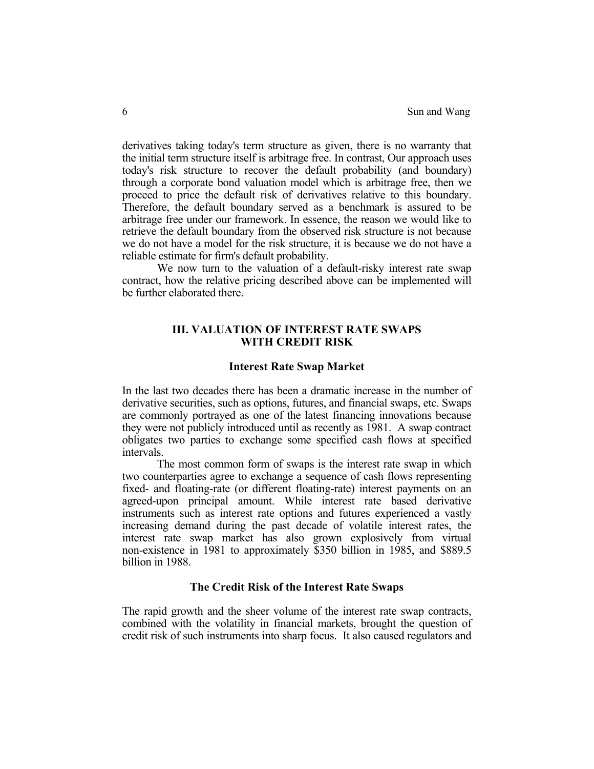derivatives taking today's term structure as given, there is no warranty that the initial term structure itself is arbitrage free. In contrast, Our approach uses today's risk structure to recover the default probability (and boundary) through a corporate bond valuation model which is arbitrage free, then we proceed to price the default risk of derivatives relative to this boundary. Therefore, the default boundary served as a benchmark is assured to be arbitrage free under our framework. In essence, the reason we would like to retrieve the default boundary from the observed risk structure is not because we do not have a model for the risk structure, it is because we do not have a reliable estimate for firm's default probability.

We now turn to the valuation of a default-risky interest rate swap contract, how the relative pricing described above can be implemented will be further elaborated there.

## **III. VALUATION OF INTEREST RATE SWAPS WITH CREDIT RISK**

#### **Interest Rate Swap Market**

In the last two decades there has been a dramatic increase in the number of derivative securities, such as options, futures, and financial swaps, etc. Swaps are commonly portrayed as one of the latest financing innovations because they were not publicly introduced until as recently as 1981. A swap contract obligates two parties to exchange some specified cash flows at specified intervals.

The most common form of swaps is the interest rate swap in which two counterparties agree to exchange a sequence of cash flows representing fixed- and floating-rate (or different floating-rate) interest payments on an agreed-upon principal amount. While interest rate based derivative instruments such as interest rate options and futures experienced a vastly increasing demand during the past decade of volatile interest rates, the interest rate swap market has also grown explosively from virtual non-existence in 1981 to approximately \$350 billion in 1985, and \$889.5 billion in 1988.

## **The Credit Risk of the Interest Rate Swaps**

The rapid growth and the sheer volume of the interest rate swap contracts, combined with the volatility in financial markets, brought the question of credit risk of such instruments into sharp focus. It also caused regulators and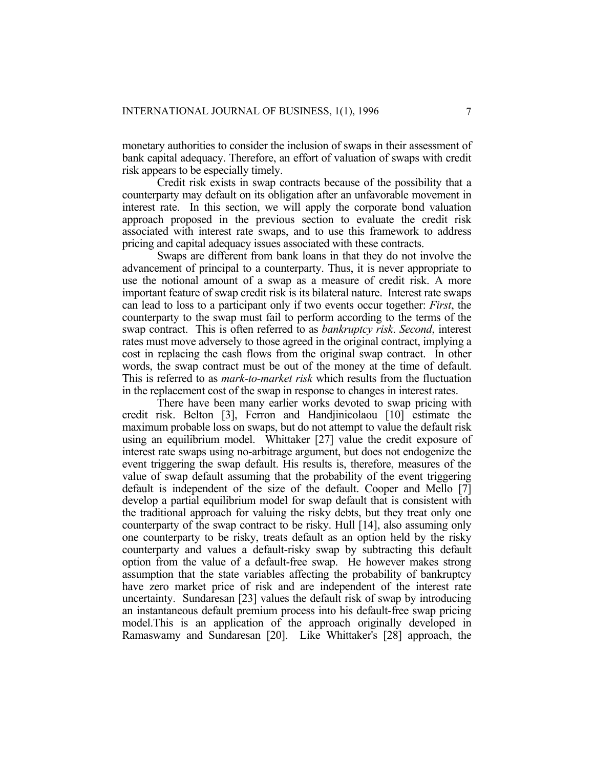monetary authorities to consider the inclusion of swaps in their assessment of bank capital adequacy. Therefore, an effort of valuation of swaps with credit risk appears to be especially timely.

Credit risk exists in swap contracts because of the possibility that a counterparty may default on its obligation after an unfavorable movement in interest rate. In this section, we will apply the corporate bond valuation approach proposed in the previous section to evaluate the credit risk associated with interest rate swaps, and to use this framework to address pricing and capital adequacy issues associated with these contracts.

Swaps are different from bank loans in that they do not involve the advancement of principal to a counterparty. Thus, it is never appropriate to use the notional amount of a swap as a measure of credit risk. A more important feature of swap credit risk is its bilateral nature. Interest rate swaps can lead to loss to a participant only if two events occur together: *First*, the counterparty to the swap must fail to perform according to the terms of the swap contract. This is often referred to as *bankruptcy risk*. *Second*, interest rates must move adversely to those agreed in the original contract, implying a cost in replacing the cash flows from the original swap contract. In other words, the swap contract must be out of the money at the time of default. This is referred to as *mark-to-market risk* which results from the fluctuation in the replacement cost of the swap in response to changes in interest rates.

There have been many earlier works devoted to swap pricing with credit risk. Belton [3], Ferron and Handjinicolaou [10] estimate the maximum probable loss on swaps, but do not attempt to value the default risk using an equilibrium model. Whittaker [27] value the credit exposure of interest rate swaps using no-arbitrage argument, but does not endogenize the event triggering the swap default. His results is, therefore, measures of the value of swap default assuming that the probability of the event triggering default is independent of the size of the default. Cooper and Mello [7] develop a partial equilibrium model for swap default that is consistent with the traditional approach for valuing the risky debts, but they treat only one counterparty of the swap contract to be risky. Hull [14], also assuming only one counterparty to be risky, treats default as an option held by the risky counterparty and values a default-risky swap by subtracting this default option from the value of a default-free swap. He however makes strong assumption that the state variables affecting the probability of bankruptcy have zero market price of risk and are independent of the interest rate uncertainty. Sundaresan [23] values the default risk of swap by introducing an instantaneous default premium process into his default-free swap pricing model.This is an application of the approach originally developed in Ramaswamy and Sundaresan [20]. Like Whittaker's [28] approach, the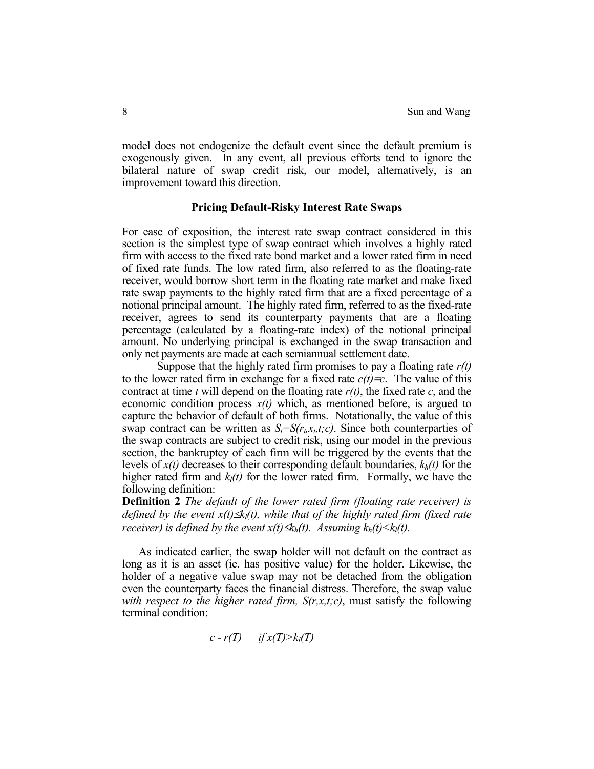model does not endogenize the default event since the default premium is exogenously given. In any event, all previous efforts tend to ignore the bilateral nature of swap credit risk, our model, alternatively, is an improvement toward this direction.

#### **Pricing Default-Risky Interest Rate Swaps**

For ease of exposition, the interest rate swap contract considered in this section is the simplest type of swap contract which involves a highly rated firm with access to the fixed rate bond market and a lower rated firm in need of fixed rate funds. The low rated firm, also referred to as the floating-rate receiver, would borrow short term in the floating rate market and make fixed rate swap payments to the highly rated firm that are a fixed percentage of a notional principal amount. The highly rated firm, referred to as the fixed-rate receiver, agrees to send its counterparty payments that are a floating percentage (calculated by a floating-rate index) of the notional principal amount. No underlying principal is exchanged in the swap transaction and only net payments are made at each semiannual settlement date.

Suppose that the highly rated firm promises to pay a floating rate *r(t)* to the lower rated firm in exchange for a fixed rate  $c(t) = c$ . The value of this contract at time *t* will depend on the floating rate *r(t)*, the fixed rate *c*, and the economic condition process  $x(t)$  which, as mentioned before, is argued to capture the behavior of default of both firms. Notationally, the value of this swap contract can be written as  $S_t = S(r_t, x_t, t; c)$ . Since both counterparties of the swap contracts are subject to credit risk, using our model in the previous section, the bankruptcy of each firm will be triggered by the events that the levels of  $x(t)$  decreases to their corresponding default boundaries,  $k_h(t)$  for the higher rated firm and  $k_l(t)$  for the lower rated firm. Formally, we have the following definition:

**Definition 2** *The default of the lower rated firm (floating rate receiver) is defined by the event x(t)≤k<sub>l</sub>(t), while that of the highly rated firm (fixed rate receiver) is defined by the event*  $x(t) \leq k_h(t)$ *. Assuming*  $k_h(t) \leq k_l(t)$ *.* 

 As indicated earlier, the swap holder will not default on the contract as long as it is an asset (ie. has positive value) for the holder. Likewise, the holder of a negative value swap may not be detached from the obligation even the counterparty faces the financial distress. Therefore, the swap value *with respect to the higher rated firm, S(r,x,t;c)*, must satisfy the following terminal condition:

$$
c-r(T) \qquad \text{if } x(T) > k_l(T)
$$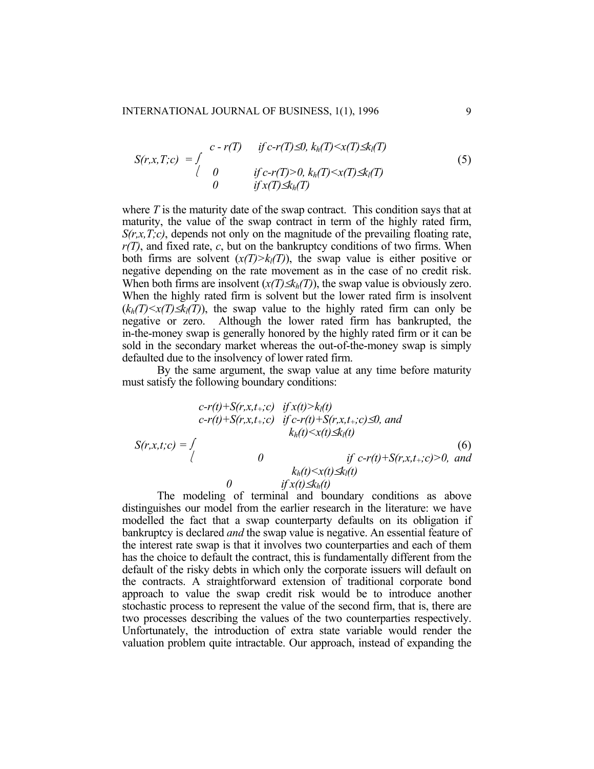$$
S(r,x,T;c) = \int\limits_{\begin{array}{l} \text{if } c-r(T) \leq 0, \ k_h(T) < x(T) \leq k_l(T) \\ \text{if } c-r(T) > 0, \ k_h(T) < x(T) \leq k_l(T) \\ \text{if } x(T) \leq k_h(T) \end{array} \tag{5}
$$

where *T* is the maturity date of the swap contract. This condition says that at maturity, the value of the swap contract in term of the highly rated firm, *S(r,x,T;c)*, depends not only on the magnitude of the prevailing floating rate, *r(T)*, and fixed rate, *c*, but on the bankruptcy conditions of two firms. When both firms are solvent  $(x(T) > k(T))$ , the swap value is either positive or negative depending on the rate movement as in the case of no credit risk. When both firms are insolvent  $(x(T) \leq k_h(T))$ , the swap value is obviously zero. When the highly rated firm is solvent but the lower rated firm is insolvent  $(k_h(T) \le x(T) \le k_l(T))$ , the swap value to the highly rated firm can only be negative or zero. Although the lower rated firm has bankrupted, the in-the-money swap is generally honored by the highly rated firm or it can be sold in the secondary market whereas the out-of-the-money swap is simply defaulted due to the insolvency of lower rated firm.

By the same argument, the swap value at any time before maturity must satisfy the following boundary conditions:

$$
c-r(t)+S(r,x,t_{+};c) \quad \text{if } x(t) > k_{l}(t)
$$
\n
$$
c-r(t)+S(r,x,t_{+};c) \quad \text{if } c-r(t)+S(r,x,t_{+};c) \le 0, \text{ and}
$$
\n
$$
k_{h}(t) \le x(t) \le k_{l}(t)
$$
\n
$$
S(r,x,t;c) = \int_{\begin{cases} 0 & \text{if } c-r(t)+S(r,x,t_{+};c) > 0, \text{ and} \\ 0 & \text{if } x(t) \le k_{l}(t) \end{cases}} \tag{6}
$$

The modeling of terminal and boundary conditions as above distinguishes our model from the earlier research in the literature: we have modelled the fact that a swap counterparty defaults on its obligation if bankruptcy is declared *and* the swap value is negative. An essential feature of the interest rate swap is that it involves two counterparties and each of them has the choice to default the contract, this is fundamentally different from the default of the risky debts in which only the corporate issuers will default on the contracts. A straightforward extension of traditional corporate bond approach to value the swap credit risk would be to introduce another stochastic process to represent the value of the second firm, that is, there are two processes describing the values of the two counterparties respectively. Unfortunately, the introduction of extra state variable would render the valuation problem quite intractable. Our approach, instead of expanding the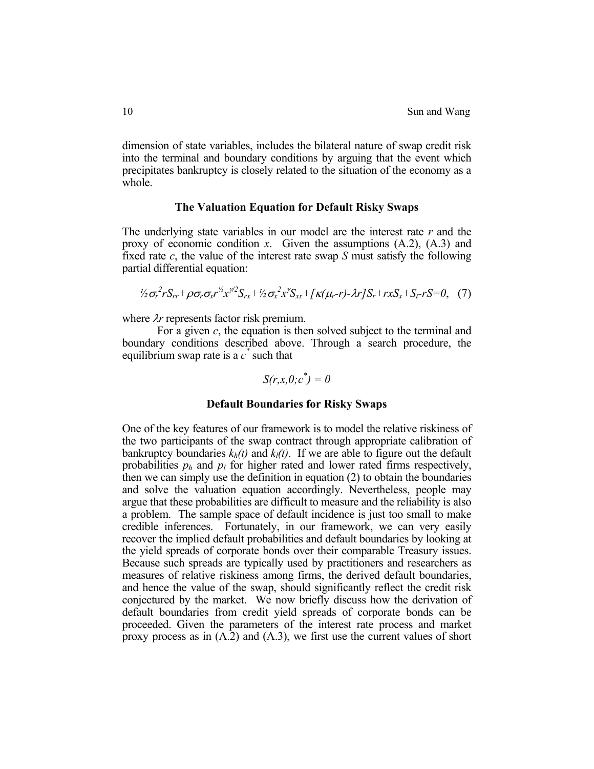dimension of state variables, includes the bilateral nature of swap credit risk into the terminal and boundary conditions by arguing that the event which precipitates bankruptcy is closely related to the situation of the economy as a whole.

#### **The Valuation Equation for Default Risky Swaps**

The underlying state variables in our model are the interest rate *r* and the proxy of economic condition *x*. Given the assumptions (A.2), (A.3) and fixed rate *c*, the value of the interest rate swap *S* must satisfy the following partial differential equation:

$$
\frac{1}{2}\sigma_r^2 r S_{rr} + \rho \sigma_r \sigma_x r^{\frac{1}{2}} x^{\frac{1}{2}} S_{rx} + \frac{1}{2} \sigma_x^2 x^{\frac{1}{2}} S_{xx} + \frac{1}{2} \kappa (\mu_r - r) - \lambda r J S_r + r x S_x + S_r - r S = 0, \quad (7)
$$

where λ*r* represents factor risk premium.

For a given *c*, the equation is then solved subject to the terminal and boundary conditions described above. Through a search procedure, the equilibrium swap rate is a  $c^*$  such that

$$
S(r, x, 0; c^*) = 0
$$

## **Default Boundaries for Risky Swaps**

One of the key features of our framework is to model the relative riskiness of the two participants of the swap contract through appropriate calibration of bankruptcy boundaries  $k_h(t)$  and  $k_l(t)$ . If we are able to figure out the default probabilities  $p_h$  and  $p_l$  for higher rated and lower rated firms respectively, then we can simply use the definition in equation (2) to obtain the boundaries and solve the valuation equation accordingly. Nevertheless, people may argue that these probabilities are difficult to measure and the reliability is also a problem. The sample space of default incidence is just too small to make credible inferences. Fortunately, in our framework, we can very easily recover the implied default probabilities and default boundaries by looking at the yield spreads of corporate bonds over their comparable Treasury issues. Because such spreads are typically used by practitioners and researchers as measures of relative riskiness among firms, the derived default boundaries, and hence the value of the swap, should significantly reflect the credit risk conjectured by the market. We now briefly discuss how the derivation of default boundaries from credit yield spreads of corporate bonds can be proceeded. Given the parameters of the interest rate process and market proxy process as in (A.2) and (A.3), we first use the current values of short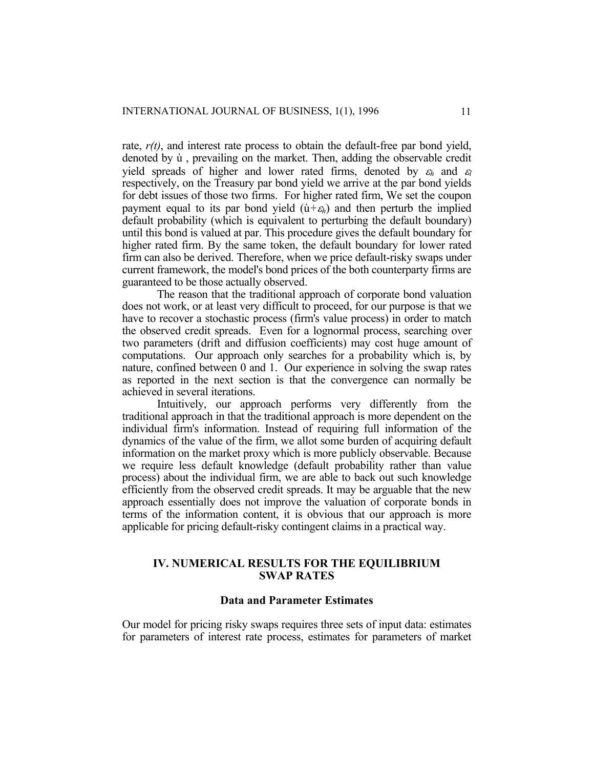rate,  $r(t)$ , and interest rate process to obtain the default-free par bond yield, denoted by ù , prevailing on the market. Then, adding the observable credit yield spreads of higher and lower rated firms, denoted by  $\varepsilon_h$  and  $\varepsilon_l$ respectively, on the Treasury par bond yield we arrive at the par bond yields for debt issues of those two firms. For higher rated firm, We set the coupon payment equal to its par bond yield  $(\hat{u} + \varepsilon_h)$  and then perturb the implied default probability (which is equivalent to perturbing the default boundary) until this bond is valued at par. This procedure gives the default boundary for higher rated firm. By the same token, the default boundary for lower rated firm can also be derived. Therefore, when we price default-risky swaps under current framework, the model's bond prices of the both counterparty firms are guaranteed to be those actually observed.

The reason that the traditional approach of corporate bond valuation does not work, or at least very difficult to proceed, for our purpose is that we have to recover a stochastic process (firm's value process) in order to match the observed credit spreads. Even for a lognormal process, searching over two parameters (drift and diffusion coefficients) may cost huge amount of computations. Our approach only searches for a probability which is, by nature, confined between 0 and 1. Our experience in solving the swap rates as reported in the next section is that the convergence can normally be achieved in several iterations.

Intuitively, our approach performs very differently from the traditional approach in that the traditional approach is more dependent on the individual firm's information. Instead of requiring full information of the dynamics of the value of the firm, we allot some burden of acquiring default information on the market proxy which is more publicly observable. Because we require less default knowledge (default probability rather than value process) about the individual firm, we are able to back out such knowledge efficiently from the observed credit spreads. It may be arguable that the new approach essentially does not improve the valuation of corporate bonds in terms of the information content, it is obvious that our approach is more applicable for pricing default-risky contingent claims in a practical way.

## **IV. NUMERICAL RESULTS FOR THE EQUILIBRIUM SWAP RATES**

## **Data and Parameter Estimates**

Our model for pricing risky swaps requires three sets of input data: estimates for parameters of interest rate process, estimates for parameters of market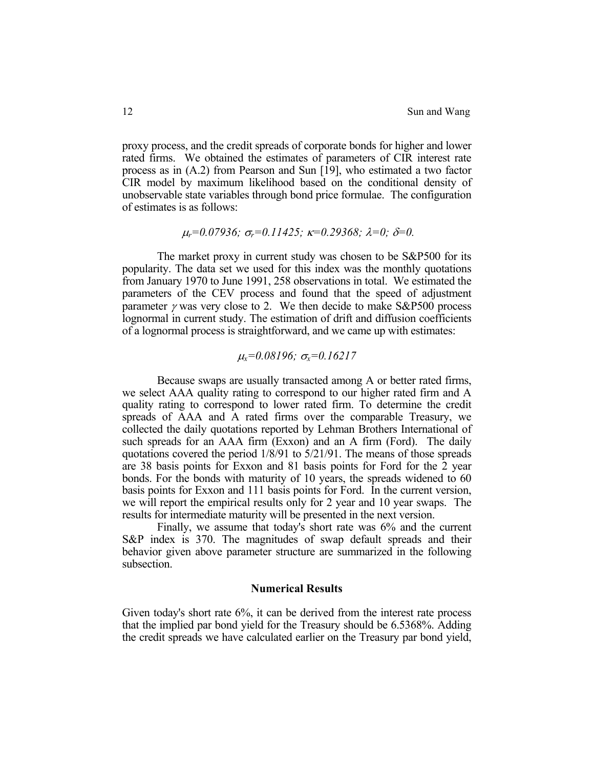proxy process, and the credit spreads of corporate bonds for higher and lower rated firms. We obtained the estimates of parameters of CIR interest rate process as in (A.2) from Pearson and Sun [19], who estimated a two factor CIR model by maximum likelihood based on the conditional density of unobservable state variables through bond price formulae. The configuration of estimates is as follows:

$$
\mu_r=0.07936; \sigma_r=0.11425; \kappa=0.29368; \lambda=0; \delta=0.
$$

The market proxy in current study was chosen to be S&P500 for its popularity. The data set we used for this index was the monthly quotations from January 1970 to June 1991, 258 observations in total. We estimated the parameters of the CEV process and found that the speed of adjustment parameter  $\gamma$  was very close to 2. We then decide to make S&P500 process lognormal in current study. The estimation of drift and diffusion coefficients of a lognormal process is straightforward, and we came up with estimates:

## <sup>µ</sup>*x=0.08196;* σ*x=0.16217*

Because swaps are usually transacted among A or better rated firms, we select AAA quality rating to correspond to our higher rated firm and A quality rating to correspond to lower rated firm. To determine the credit spreads of AAA and A rated firms over the comparable Treasury, we collected the daily quotations reported by Lehman Brothers International of such spreads for an AAA firm (Exxon) and an A firm (Ford). The daily quotations covered the period 1/8/91 to 5/21/91. The means of those spreads are 38 basis points for Exxon and 81 basis points for Ford for the 2 year bonds. For the bonds with maturity of 10 years, the spreads widened to 60 basis points for Exxon and 111 basis points for Ford. In the current version, we will report the empirical results only for 2 year and 10 year swaps. The results for intermediate maturity will be presented in the next version.

Finally, we assume that today's short rate was 6% and the current S&P index is 370. The magnitudes of swap default spreads and their behavior given above parameter structure are summarized in the following subsection.

#### **Numerical Results**

Given today's short rate 6%, it can be derived from the interest rate process that the implied par bond yield for the Treasury should be 6.5368%. Adding the credit spreads we have calculated earlier on the Treasury par bond yield,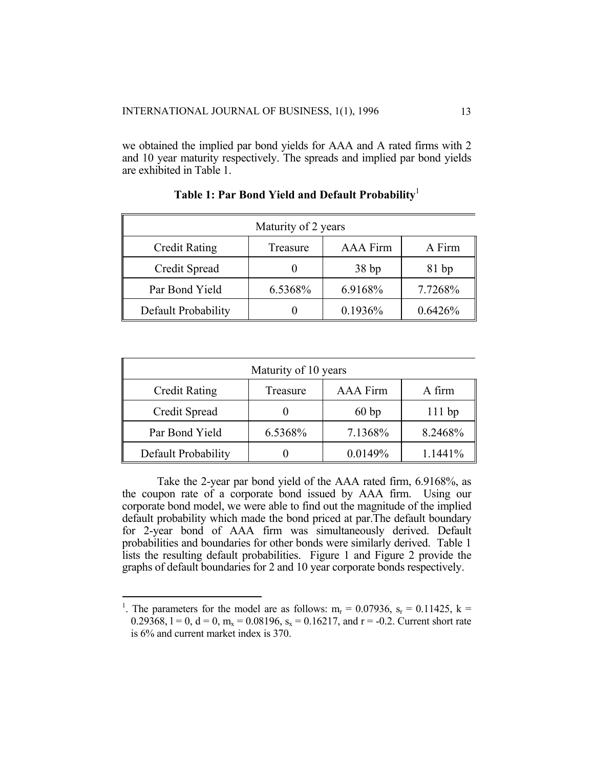we obtained the implied par bond yields for AAA and A rated firms with 2 and 10 year maturity respectively. The spreads and implied par bond yields are exhibited in Table 1.

| Maturity of 2 years                                    |         |         |         |  |
|--------------------------------------------------------|---------|---------|---------|--|
| <b>Credit Rating</b><br>AAA Firm<br>A Firm<br>Treasure |         |         |         |  |
| Credit Spread                                          |         | 38bp    | 81bp    |  |
| Par Bond Yield                                         | 6.5368% | 6.9168% | 7.7268% |  |
| Default Probability                                    |         | 0.1936% | 0.6426% |  |

**Table 1: Par Bond Yield and Default Probability**[1](#page-12-0)

| Maturity of 10 years                                          |         |         |          |  |
|---------------------------------------------------------------|---------|---------|----------|--|
| <b>AAA</b> Firm<br>A firm<br><b>Credit Rating</b><br>Treasure |         |         |          |  |
| Credit Spread                                                 |         | 60bp    | $111$ bp |  |
| Par Bond Yield                                                | 6.5368% | 7.1368% | 8.2468%  |  |
| Default Probability                                           |         | 0.0149% | 1.1441%  |  |

Take the 2-year par bond yield of the AAA rated firm, 6.9168%, as the coupon rate of a corporate bond issued by AAA firm. Using our corporate bond model, we were able to find out the magnitude of the implied default probability which made the bond priced at par.The default boundary for 2-year bond of AAA firm was simultaneously derived. Default probabilities and boundaries for other bonds were similarly derived. Table 1 lists the resulting default probabilities. Figure 1 and Figure 2 provide the graphs of default boundaries for 2 and 10 year corporate bonds respectively.

i<br>I

<span id="page-12-0"></span><sup>&</sup>lt;sup>1</sup>. The parameters for the model are as follows:  $m_r = 0.07936$ ,  $s_r = 0.11425$ ,  $k =$ 0.29368,  $l = 0$ ,  $d = 0$ ,  $m_x = 0.08196$ ,  $s_x = 0.16217$ , and  $r = -0.2$ . Current short rate is 6% and current market index is 370.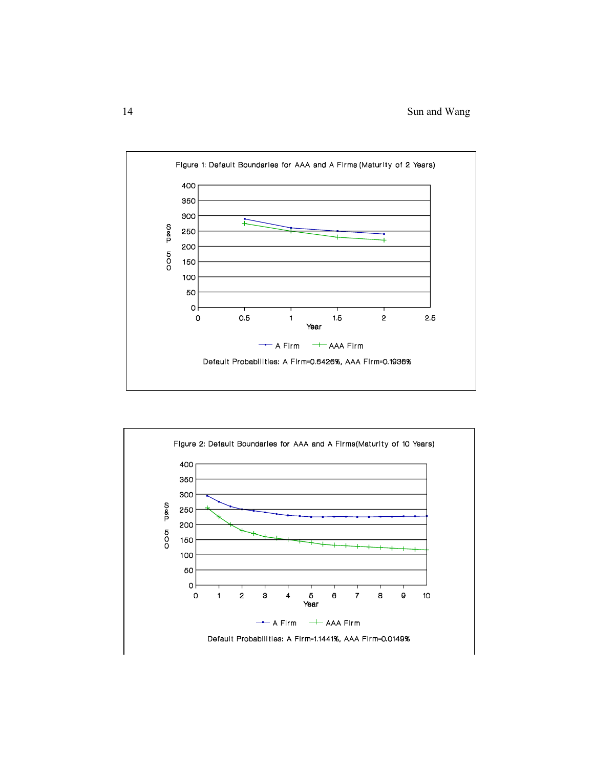

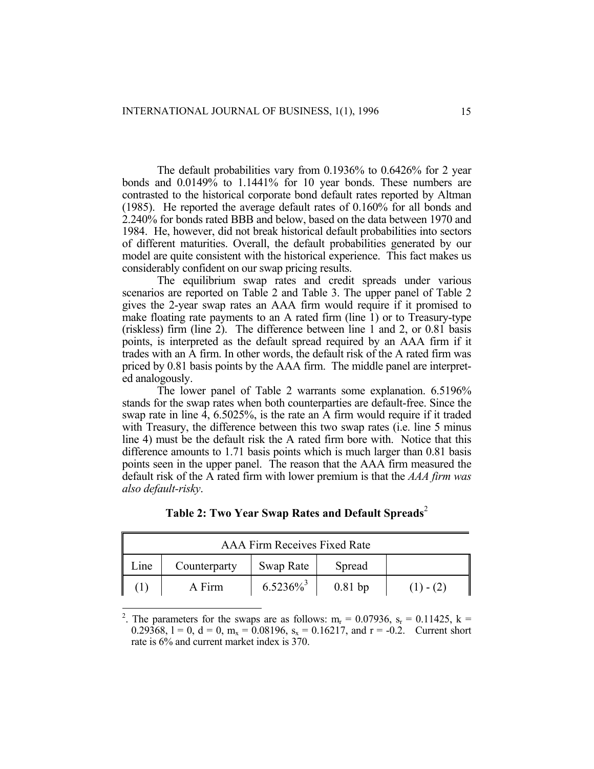The default probabilities vary from 0.1936% to 0.6426% for 2 year bonds and 0.0149% to 1.1441% for 10 year bonds. These numbers are contrasted to the historical corporate bond default rates reported by Altman (1985). He reported the average default rates of 0.160% for all bonds and 2.240% for bonds rated BBB and below, based on the data between 1970 and 1984. He, however, did not break historical default probabilities into sectors of different maturities. Overall, the default probabilities generated by our model are quite consistent with the historical experience. This fact makes us considerably confident on our swap pricing results.

The equilibrium swap rates and credit spreads under various scenarios are reported on Table 2 and Table 3. The upper panel of Table 2 gives the 2-year swap rates an AAA firm would require if it promised to make floating rate payments to an A rated firm (line 1) or to Treasury-type (riskless) firm (line 2). The difference between line 1 and 2, or 0.81 basis points, is interpreted as the default spread required by an AAA firm if it trades with an A firm. In other words, the default risk of the A rated firm was priced by 0.81 basis points by the AAA firm. The middle panel are interpreted analogously.

The lower panel of Table 2 warrants some explanation. 6.5196% stands for the swap rates when both counterparties are default-free. Since the swap rate in line 4, 6.5025%, is the rate an A firm would require if it traded with Treasury, the difference between this two swap rates (i.e. line 5 minus line 4) must be the default risk the A rated firm bore with. Notice that this difference amounts to 1.71 basis points which is much larger than 0.81 basis points seen in the upper panel. The reason that the AAA firm measured the default risk of the A rated firm with lower premium is that the *AAA firm was also default-risky*.

<span id="page-14-1"></span>

| AAA Firm Receives Fixed Rate |              |                         |           |             |
|------------------------------|--------------|-------------------------|-----------|-------------|
| Line                         | Counterparty | Swap Rate               | Spread    |             |
|                              | A Firm       | $6.5236\%$ <sup>3</sup> | $0.81$ bp | $(1) - (2)$ |

**Table [2](#page-14-0): Two Year Swap Rates and Default Spreads**<sup>2</sup>

<span id="page-14-0"></span><sup>&</sup>lt;sup>2</sup>. The parameters for the swaps are as follows: m<sub>r</sub> = 0.07936, s<sub>r</sub> = 0.11425, k = 0.29368, 1 = 0, d = 0, m<sub>x</sub> = 0.08196, s<sub>x</sub> = 0.16217, and r = -0.2. Current short rate is 6% and current market index is 370.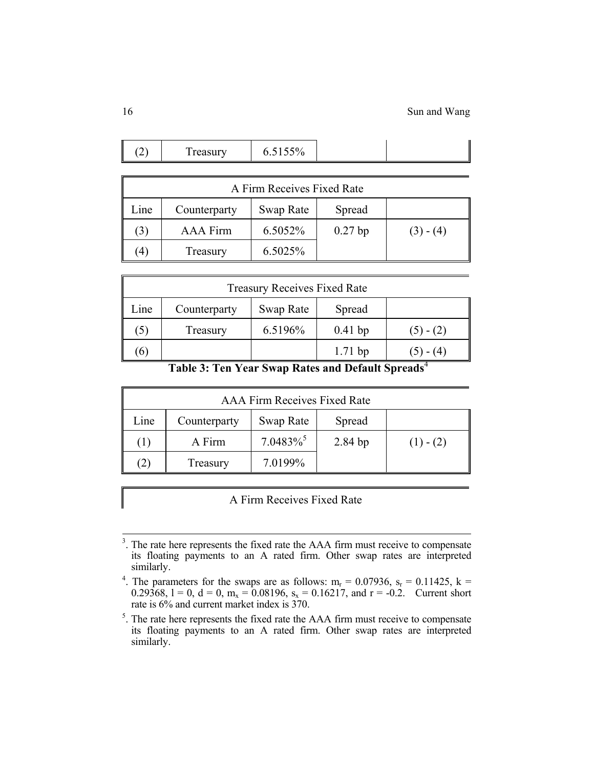|--|

|      | A Firm Receives Fixed Rate |           |           |             |  |  |
|------|----------------------------|-----------|-----------|-------------|--|--|
| Line | Counterparty               | Swap Rate | Spread    |             |  |  |
| (3)  | AAA Firm                   | 6.5052%   | $0.27$ bp | $(3) - (4)$ |  |  |
| '4.  | Treasury                   | 6.5025%   |           |             |  |  |

|                                                                                     | <b>Treasury Receives Fixed Rate</b> |           |           |             |  |  |
|-------------------------------------------------------------------------------------|-------------------------------------|-----------|-----------|-------------|--|--|
| Line                                                                                | Counterparty                        | Swap Rate | Spread    |             |  |  |
| $\mathfrak{I}$ )                                                                    | Treasury                            | 6.5196%   | $0.41$ bp | $(5) - (2)$ |  |  |
| (6)                                                                                 |                                     |           | $1.71$ bp | $(5) - (4)$ |  |  |
| $\sim$ $\sim$ $\sim$<br>$\mathbf{v}$<br>$\sim$<br>$\sim$<br>$\sim$ $\sim$<br>-- - - |                                     |           |           |             |  |  |

 **Table 3: Ten Year Swap Rates and Default Spreads**[4](#page-15-0)

|               | AAA Firm Receives Fixed Rate |                         |         |             |  |  |
|---------------|------------------------------|-------------------------|---------|-------------|--|--|
| Line          | Counterparty                 | Swap Rate               | Spread  |             |  |  |
| $( \;   \; )$ | A Firm                       | $7.0483\%$ <sup>5</sup> | 2.84 bp | $(1) - (2)$ |  |  |
| (2)           | Treasury                     | 7.0199%                 |         |             |  |  |

A Firm Receives Fixed Rate

<sup>&</sup>lt;sup>3</sup>. The rate here represents the fixed rate the AAA firm must receive to compensate its floating payments to an A rated firm. Other swap rates are interpreted similarly.

<span id="page-15-0"></span><sup>&</sup>lt;sup>4</sup>. The parameters for the swaps are as follows:  $m_r = 0.07936$ ,  $s_r = 0.11425$ ,  $k =$ 0.29368,  $l = 0$ ,  $d = 0$ ,  $m_x = 0.08196$ ,  $s_x = 0.16217$ , and  $r = -0.2$ . Current short rate is 6% and current market index is 370.

<span id="page-15-1"></span> $<sup>5</sup>$ . The rate here represents the fixed rate the AAA firm must receive to compensate</sup> its floating payments to an A rated firm. Other swap rates are interpreted similarly.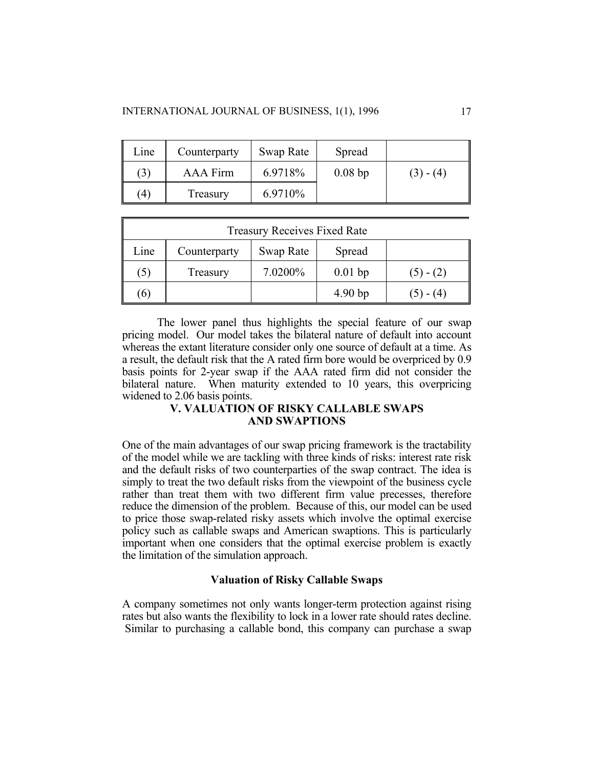| Line          | Counterparty | Swap Rate | Spread    |             |
|---------------|--------------|-----------|-----------|-------------|
| (3)           | AAA Firm     | 6.9718%   | $0.08$ bp | $(3) - (4)$ |
| $\mathcal{L}$ | Treasury     | 6.9710\%  |           |             |

|          | <b>Treasury Receives Fixed Rate</b> |           |                    |             |  |  |
|----------|-------------------------------------|-----------|--------------------|-------------|--|--|
| Line     | Counterparty                        | Swap Rate | Spread             |             |  |  |
| (5)      | Treasury                            | 7.0200%   | $0.01$ bp          | $(5) - (2)$ |  |  |
| $\sigma$ |                                     |           | 4.90 <sub>bp</sub> | $(5) - (4)$ |  |  |

The lower panel thus highlights the special feature of our swap pricing model. Our model takes the bilateral nature of default into account whereas the extant literature consider only one source of default at a time. As a result, the default risk that the A rated firm bore would be overpriced by 0.9 basis points for 2-year swap if the AAA rated firm did not consider the bilateral nature. When maturity extended to 10 years, this overpricing widened to 2.06 basis points.

# **V. VALUATION OF RISKY CALLABLE SWAPS AND SWAPTIONS**

One of the main advantages of our swap pricing framework is the tractability of the model while we are tackling with three kinds of risks: interest rate risk and the default risks of two counterparties of the swap contract. The idea is simply to treat the two default risks from the viewpoint of the business cycle rather than treat them with two different firm value precesses, therefore reduce the dimension of the problem. Because of this, our model can be used to price those swap-related risky assets which involve the optimal exercise policy such as callable swaps and American swaptions. This is particularly important when one considers that the optimal exercise problem is exactly the limitation of the simulation approach.

## **Valuation of Risky Callable Swaps**

A company sometimes not only wants longer-term protection against rising rates but also wants the flexibility to lock in a lower rate should rates decline. Similar to purchasing a callable bond, this company can purchase a swap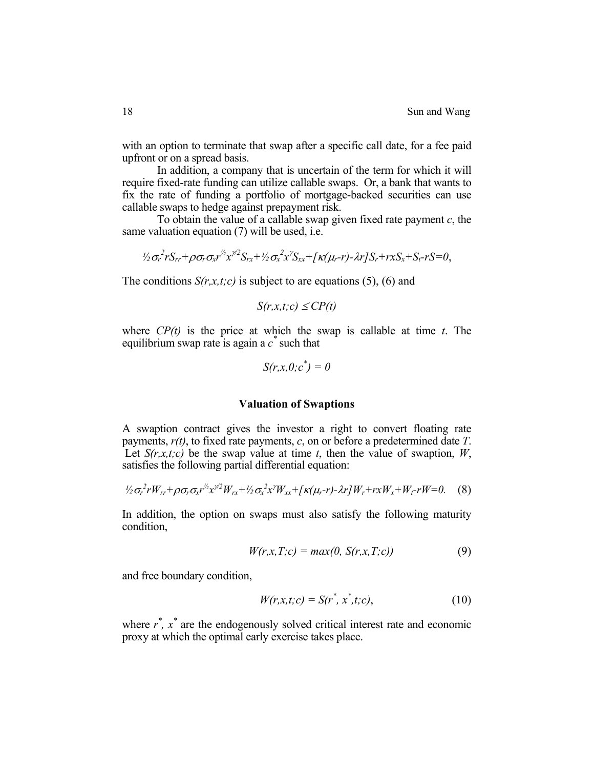with an option to terminate that swap after a specific call date, for a fee paid upfront or on a spread basis.

In addition, a company that is uncertain of the term for which it will require fixed-rate funding can utilize callable swaps. Or, a bank that wants to fix the rate of funding a portfolio of mortgage-backed securities can use callable swaps to hedge against prepayment risk.

To obtain the value of a callable swap given fixed rate payment *c*, the same valuation equation (7) will be used, i.e.

$$
\frac{1}{2}\sigma_r^2 r S_{rr} + \rho \sigma_r \sigma_x r^{\frac{1}{2}} x^{\frac{1}{2}} S_{rx} + \frac{1}{2} \sigma_x^2 x^{\frac{1}{2}} S_{xx} + \frac{1}{2} \kappa (\mu_r - r) - \lambda r J S_r + r x S_x + S_r - r S = 0,
$$

The conditions  $S(r, x, t; c)$  is subject to are equations (5), (6) and

$$
S(r, x, t; c) \leq CP(t)
$$

where *CP(t)* is the price at which the swap is callable at time *t*. The equilibrium swap rate is again a  $c^*$  such that

$$
S(r, x, 0; c^*) = 0
$$

#### **Valuation of Swaptions**

A swaption contract gives the investor a right to convert floating rate payments, *r(t)*, to fixed rate payments, *c*, on or before a predetermined date *T*. Let  $S(r, x, t; c)$  be the swap value at time *t*, then the value of swaption, *W*, satisfies the following partial differential equation:

$$
\frac{1}{2}\sigma_r^2 r W_{rr} + \rho \sigma_r \sigma_x r^{\frac{1}{2}} x^{\frac{1}{2}} W_{rx} + \frac{1}{2} \sigma_x^2 x^{\frac{1}{2}} W_{xx} + \left[ \kappa (\mu_r - r) - \lambda r \right] W_r + r x W_x + W_r - r W = 0. \tag{8}
$$

In addition, the option on swaps must also satisfy the following maturity condition,

$$
W(r, x, T; c) = max(0, S(r, x, T; c))
$$
\n(9)

and free boundary condition,

$$
W(r, x, t; c) = S(r^*, x^*, t; c), \qquad (10)
$$

where  $r^*$ ,  $x^*$  are the endogenously solved critical interest rate and economic proxy at which the optimal early exercise takes place.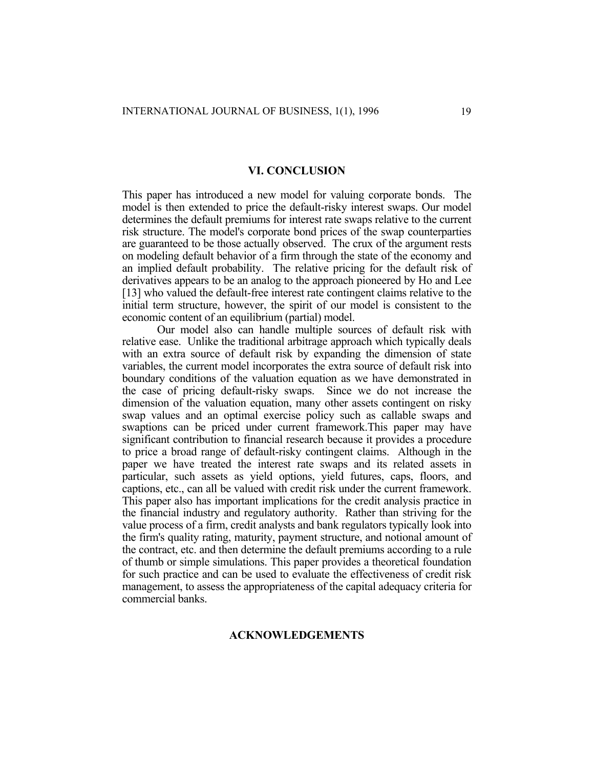#### **VI. CONCLUSION**

This paper has introduced a new model for valuing corporate bonds. The model is then extended to price the default-risky interest swaps. Our model determines the default premiums for interest rate swaps relative to the current risk structure. The model's corporate bond prices of the swap counterparties are guaranteed to be those actually observed. The crux of the argument rests on modeling default behavior of a firm through the state of the economy and an implied default probability. The relative pricing for the default risk of derivatives appears to be an analog to the approach pioneered by Ho and Lee [13] who valued the default-free interest rate contingent claims relative to the initial term structure, however, the spirit of our model is consistent to the economic content of an equilibrium (partial) model.

Our model also can handle multiple sources of default risk with relative ease. Unlike the traditional arbitrage approach which typically deals with an extra source of default risk by expanding the dimension of state variables, the current model incorporates the extra source of default risk into boundary conditions of the valuation equation as we have demonstrated in the case of pricing default-risky swaps. Since we do not increase the dimension of the valuation equation, many other assets contingent on risky swap values and an optimal exercise policy such as callable swaps and swaptions can be priced under current framework.This paper may have significant contribution to financial research because it provides a procedure to price a broad range of default-risky contingent claims. Although in the paper we have treated the interest rate swaps and its related assets in particular, such assets as yield options, yield futures, caps, floors, and captions, etc., can all be valued with credit risk under the current framework. This paper also has important implications for the credit analysis practice in the financial industry and regulatory authority. Rather than striving for the value process of a firm, credit analysts and bank regulators typically look into the firm's quality rating, maturity, payment structure, and notional amount of the contract, etc. and then determine the default premiums according to a rule of thumb or simple simulations. This paper provides a theoretical foundation for such practice and can be used to evaluate the effectiveness of credit risk management, to assess the appropriateness of the capital adequacy criteria for commercial banks.

#### **ACKNOWLEDGEMENTS**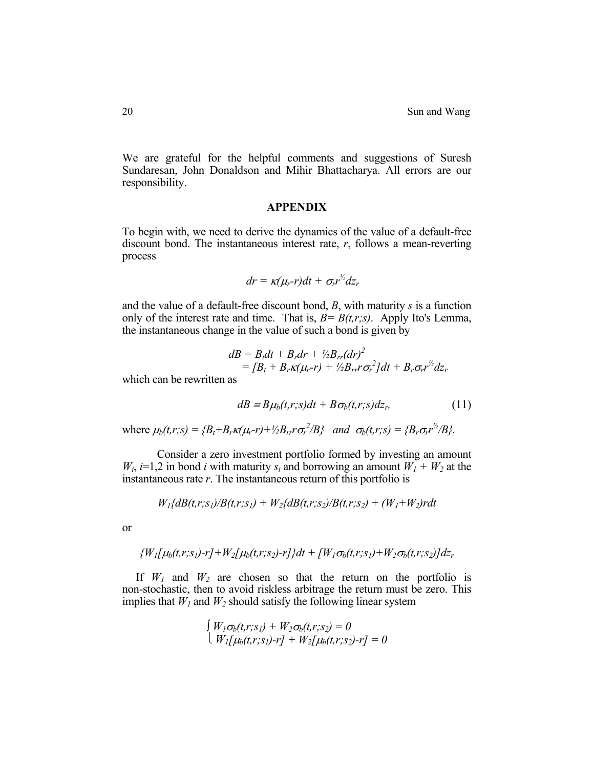We are grateful for the helpful comments and suggestions of Suresh Sundaresan, John Donaldson and Mihir Bhattacharya. All errors are our responsibility.

#### **APPENDIX**

To begin with, we need to derive the dynamics of the value of a default-free discount bond. The instantaneous interest rate, *r*, follows a mean-reverting process

$$
dr = \kappa(\mu_r-r)dt + \sigma_r r^2 dz_r
$$

and the value of a default-free discount bond, *B*, with maturity *s* is a function only of the interest rate and time. That is,  $B = B(t,r;s)$ . Apply Ito's Lemma, the instantaneous change in the value of such a bond is given by

$$
dB = B_t dt + B_r dr + \frac{1}{2} B_{rr} (dr)^2
$$
  
=  $[B_t + B_r \kappa (\mu_r - r) + \frac{1}{2} B_{rr} r \sigma_r^2] dt + B_r \sigma_r r^2 dz_r$ 

which can be rewritten as

$$
dB = B\mu_b(t,r;s)dt + B\sigma_b(t,r;s)dz_r, \qquad (11)
$$

where  $\mu_b(t,r;s) = {B_t + B_r \kappa(\mu_r-r) + \frac{1}{2}B_{rr}r\sigma_r^2/B}$  and  $\sigma_b(t,r;s) = {B_r \sigma_r r^{\frac{1}{2}}/B}$ .

Consider a zero investment portfolio formed by investing an amount  $W_i$ , *i*=1,2 in bond *i* with maturity  $s_i$  and borrowing an amount  $W_1 + W_2$  at the instantaneous rate *r*. The instantaneous return of this portfolio is

$$
W_1\{dB(t,r;s_1)/B(t,r;s_1) + W_2\{dB(t,r;s_2)/B(t,r;s_2) + (W_1+W_2)rdt
$$

or

$$
{\{W_{1}[\mu_{b}(t,r;s_{1})-r]+W_{2}[\mu_{b}(t,r;s_{2})-r]\}dt + [W_{1}\sigma_{b}(t,r;s_{1})+W_{2}\sigma_{b}(t,r;s_{2})]dz_{r}}
$$

If  $W_1$  and  $W_2$  are chosen so that the return on the portfolio is non-stochastic, then to avoid riskless arbitrage the return must be zero. This implies that  $W_1$  and  $W_2$  should satisfy the following linear system

$$
\begin{cases} W_I \sigma_b(t,r;s_I) + W_2 \sigma_b(t,r;s_2) = 0 \\ W_I[\mu_b(t,r;s_I)-r] + W_2[\mu_b(t,r;s_2)-r] = 0 \end{cases}
$$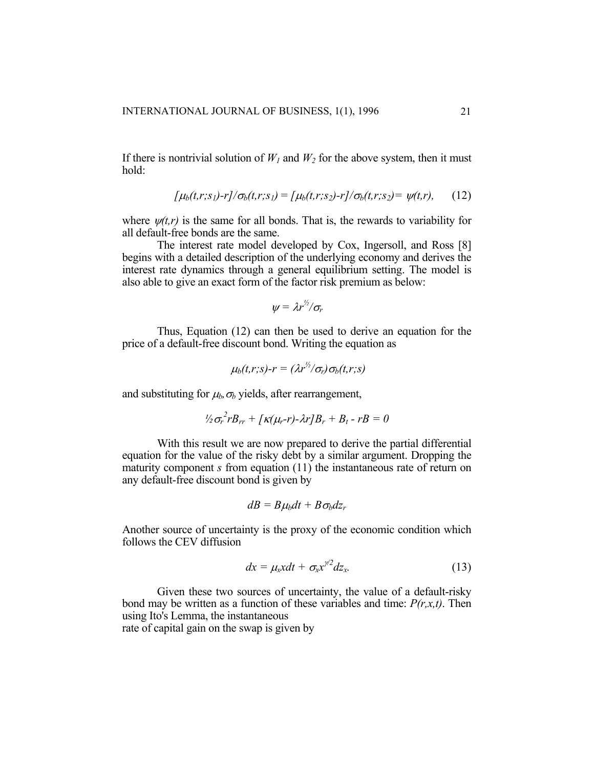If there is nontrivial solution of  $W_1$  and  $W_2$  for the above system, then it must hold:

$$
[\mu_b(t,r;s_1)-r]/\sigma_b(t,r;s_1) = [\mu_b(t,r;s_2)-r]/\sigma_b(t,r;s_2) = \psi(t,r), \quad (12)
$$

where  $\psi(t,r)$  is the same for all bonds. That is, the rewards to variability for all default-free bonds are the same.

The interest rate model developed by Cox, Ingersoll, and Ross [8] begins with a detailed description of the underlying economy and derives the interest rate dynamics through a general equilibrium setting. The model is also able to give an exact form of the factor risk premium as below:

$$
\psi = \lambda r^{\frac{1}{2}}/\sigma_r
$$

Thus, Equation (12) can then be used to derive an equation for the price of a default-free discount bond. Writing the equation as

$$
\mu_b(t,r;s)\text{-}r = (\lambda r^{\frac{1}{2}}/\sigma_r)\sigma_b(t,r;s)
$$

and substituting for  $\mu_b$ ,  $\sigma_b$  yields, after rearrangement,

$$
\frac{1}{2}\sigma_r^2 r B_{rr} + \frac{1}{K(\mu_r - r)} \lambda r B_r + B_t - r B = 0
$$

With this result we are now prepared to derive the partial differential equation for the value of the risky debt by a similar argument. Dropping the maturity component *s* from equation (11) the instantaneous rate of return on any default-free discount bond is given by

$$
dB = B\mu_b dt + B\sigma_b dz_r
$$

Another source of uncertainty is the proxy of the economic condition which follows the CEV diffusion

$$
dx = \mu_x x dt + \sigma_x x^{\gamma/2} dz_x.
$$
 (13)

Given these two sources of uncertainty, the value of a default-risky bond may be written as a function of these variables and time: *P(r,x,t)*. Then using Ito's Lemma, the instantaneous

rate of capital gain on the swap is given by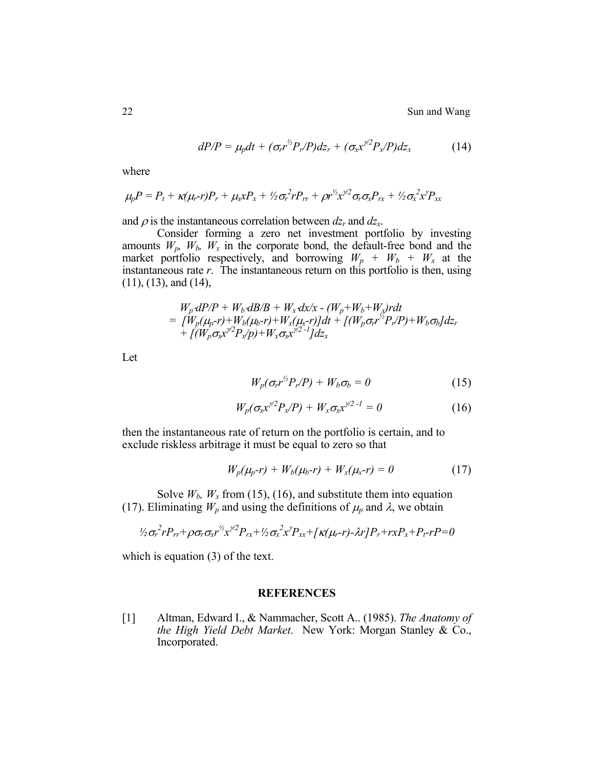22 Sun and Wang

$$
dP/P = \mu_p dt + (\sigma_r r^{\frac{1}{2}} P_r/P) dz_r + (\sigma_x r^{\frac{1}{2}} P_x/P) dz_x \qquad (14)
$$

where

$$
\mu_p P = P_t + \kappa (\mu_r - r) P_r + \mu_x x P_x + \frac{1}{2} \sigma_r^2 r P_{rr} + \rho r^{\frac{1}{2}} x^{\frac{1}{2}} \sigma_r \sigma_x P_{rx} + \frac{1}{2} \sigma_x^2 x^{\frac{1}{2}} P_{xx}
$$

and  $\rho$  is the instantaneous correlation between  $dz_r$  and  $dz_x$ .

Consider forming a zero net investment portfolio by investing amounts  $W_p$ ,  $W_b$ ,  $W_x$  in the corporate bond, the default-free bond and the market portfolio respectively, and borrowing  $W_p + W_b + W_x$  at the instantaneous rate *r*. The instantaneous return on this portfolio is then, using (11), (13), and (14),

$$
W_p dP/P + W_b dB/B + W_x dx/x - (W_p + W_b + W_x)rdt
$$
  
= 
$$
\begin{aligned} [W_p(\mu_p - r) + W_b(\mu_b - r) + W_x(\mu_x - r)]dt + \left[ (W_p \sigma_r r^{1/2} P_r / P) + W_b \sigma_b \right] dz_r \\ + \left[ (W_p \sigma_x x^{1/2} P_x / p) + W_x \sigma_x x^{1/2 - 1} \right] dz_x \end{aligned}
$$

Let

$$
W_p(\sigma_r r^{\frac{1}{2}}P_r/P) + W_b \sigma_b = 0 \qquad (15)
$$

$$
W_p(\sigma_x x^{\gamma/2} P_x / P) + W_x \sigma_x x^{\gamma/2 - 1} = 0 \qquad (16)
$$

then the instantaneous rate of return on the portfolio is certain, and to exclude riskless arbitrage it must be equal to zero so that

$$
W_p(\mu_p - r) + W_b(\mu_b - r) + W_x(\mu_x - r) = 0 \qquad (17)
$$

Solve  $W_b$ ,  $W_x$  from (15), (16), and substitute them into equation (17). Eliminating  $W_p$  and using the definitions of  $\mu_p$  and  $\lambda$ , we obtain

$$
\frac{1}{2}\sigma_r^2 r P_{rr} + \rho \sigma_r \sigma_x r^{\frac{1}{2}} x^{\frac{1}{2}} P_{rx} + \frac{1}{2} \sigma_x^2 x^{\frac{1}{2}} P_{xx} + \frac{1}{2} \kappa (\mu_r - r) - \lambda r \cdot P_r + r x P_x + P_t - r P = 0
$$

which is equation (3) of the text.

#### **REFERENCES**

[1] Altman, Edward I., & Nammacher, Scott A.. (1985). *The Anatomy of the High Yield Debt Market*. New York: Morgan Stanley & Co., Incorporated.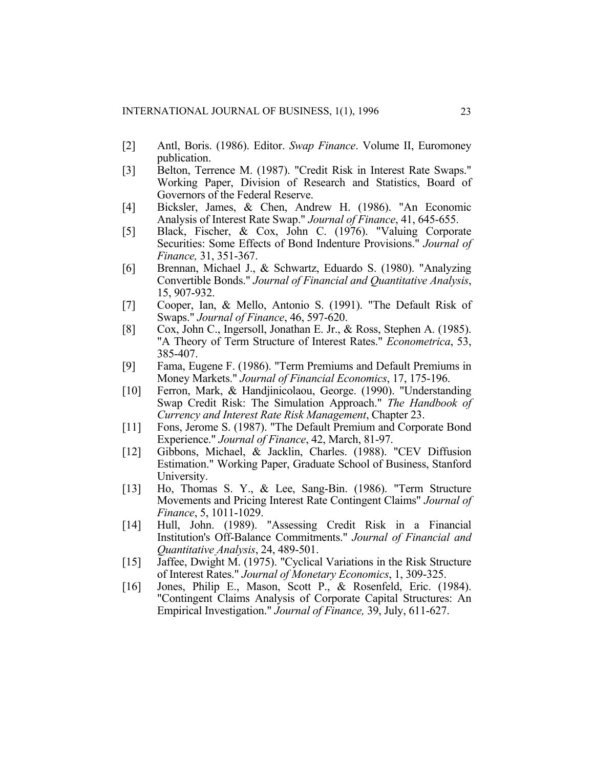- [2] Antl, Boris. (1986). Editor. *Swap Finance*. Volume II, Euromoney publication.
- [3] Belton, Terrence M. (1987). "Credit Risk in Interest Rate Swaps." Working Paper, Division of Research and Statistics, Board of Governors of the Federal Reserve.
- [4] Bicksler, James, & Chen, Andrew H. (1986). "An Economic Analysis of Interest Rate Swap." *Journal of Finance*, 41, 645-655.
- [5] Black, Fischer, & Cox, John C. (1976). "Valuing Corporate Securities: Some Effects of Bond Indenture Provisions." *Journal of Finance,* 31, 351-367.
- [6] Brennan, Michael J., & Schwartz, Eduardo S. (1980). "Analyzing Convertible Bonds." *Journal of Financial and Quantitative Analysis*, 15, 907-932.
- [7] Cooper, Ian, & Mello, Antonio S. (1991). "The Default Risk of Swaps." *Journal of Finance*, 46, 597-620.
- [8] Cox, John C., Ingersoll, Jonathan E. Jr., & Ross, Stephen A. (1985). "A Theory of Term Structure of Interest Rates." *Econometrica*, 53, 385-407.
- [9] Fama, Eugene F. (1986). "Term Premiums and Default Premiums in Money Markets." *Journal of Financial Economics*, 17, 175-196.
- [10] Ferron, Mark, & Handjinicolaou, George. (1990). "Understanding Swap Credit Risk: The Simulation Approach." *The Handbook of Currency and Interest Rate Risk Management*, Chapter 23.
- [11] Fons, Jerome S. (1987). "The Default Premium and Corporate Bond Experience." *Journal of Finance*, 42, March, 81-97.
- [12] Gibbons, Michael, & Jacklin, Charles. (1988). "CEV Diffusion Estimation." Working Paper, Graduate School of Business, Stanford University.
- [13] Ho, Thomas S. Y., & Lee, Sang-Bin. (1986). "Term Structure Movements and Pricing Interest Rate Contingent Claims" *Journal of Finance*, 5, 1011-1029.
- [14] Hull, John. (1989). "Assessing Credit Risk in a Financial Institution's Off-Balance Commitments." *Journal of Financial and Quantitative Analysis*, 24, 489-501.
- [15] Jaffee, Dwight M. (1975). "Cyclical Variations in the Risk Structure of Interest Rates." *Journal of Monetary Economics*, 1, 309-325.
- [16] Jones, Philip E., Mason, Scott P., & Rosenfeld, Eric. (1984). "Contingent Claims Analysis of Corporate Capital Structures: An Empirical Investigation." *Journal of Finance,* 39, July, 611-627.